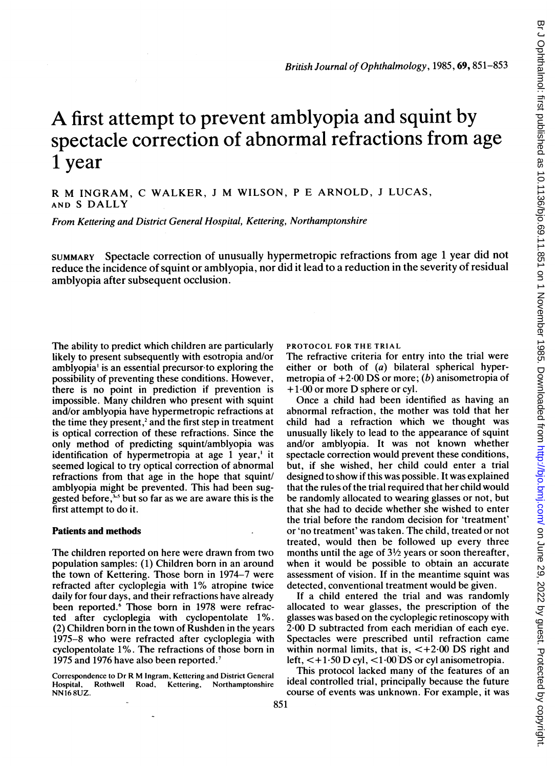# A first attempt to prevent amblyopia and squint by spectacle correction of abnormal refractions from age 1 year

R M INGRAM, C WALKER, <sup>J</sup> M WILSON, <sup>P</sup> E ARNOLD, <sup>J</sup> LUCAS, AND <sup>S</sup> DALLY

From Kettering and District General Hospital, Kettering, Northamptonshire

SUMMARY Spectacle correction of unusually hypermetropic refractions from age <sup>1</sup> year did not reduce the incidence of squint or amblyopia, nor did it lead to a reduction in the severity of residual amblyopia after subsequent occlusion.

The ability to predict which children are particularly likely to present subsequently with esotropia and/or amblyopia' is an essential precursor-to exploring the possibility of preventing these conditions. However, there is no point in prediction if prevention is impossible. Many children who present with squint and/or amblyopia have hypermetropic refractions at the time they present, $2$  and the first step in treatment is optical correction of these refractions. Since the only method of predicting squint/amblyopia was identification of hypermetropia at age <sup>1</sup> year,' it seemed logical to try optical correction of abnormal refractions from that age in the hope that squint/ amblyopia might be prevented. This had been suggested before, $\frac{1}{2}$  but so far as we are aware this is the first attempt to do it.

## Patients and methods

The children reported on here were drawn from two population samples: (1) Children born in an around the town of Kettering. Those born in 1974-7 were refracted after cycloplegia with 1% atropine twice daily for four days, and their refractions have already been reported.<sup>6</sup> Those born in 1978 were refracted after cycloplegia with cyclopentolate 1%. (2) Children born in the town of Rushden in the years 1975-8 who were refracted after cycloplegia with cyclopentolate 1%. The refractions of those born in 1975 and 1976 have also been reported.<sup>7</sup>

Correspondence to Dr R M Ingram, Kettering and District General Kettering, Northamptonshire NN <sup>16</sup> 8UZ.

PROTOCOL FOR THE TRIAL

The refractive criteria for entry into the trial were either or both of (a) bilateral spherical hypermetropia of  $+2.00$  DS or more; (b) anisometropia of  $+1.00$  or more D sphere or cyl.

Once a child had been identified as having an abnormal refraction, the mother was told that her child had a refraction which we thought was unusually likely to lead to the appearance of squint and/or amblyopia. It was not known whether spectacle correction would prevent these conditions, but, if she wished, her child could enter a trial designed to show if this was possible. It was explained that the rules of the trial required that her child would be randomly allocated to wearing glasses or not, but that she had to decide whether she wished to enter the trial before the random decision for 'treatment' or 'no treatment' was taken. The child, treated or not treated, would then be followed up every three months until the age of  $3\frac{1}{2}$  years or soon thereafter, when it would be possible to obtain an accurate assessment of vision. If in the meantime squint was detected, conventional treatment would be given.

If a child entered the trial and was randomly allocated to wear glasses, the prescription of the glasses was based on the cycloplegic retinoscopy with 2-00 D subtracted from each meridian of each eye. Spectacles were prescribed until refraction came within normal limits, that is,  $\lt +2.00$  DS right and left,  $\lt$  +1.50 D cyl,  $\lt$ 1.00 DS or cyl anisometropia.

This protocol lacked many of the features of an ideal controlled trial, principally because the future course of events was unknown. For example, it was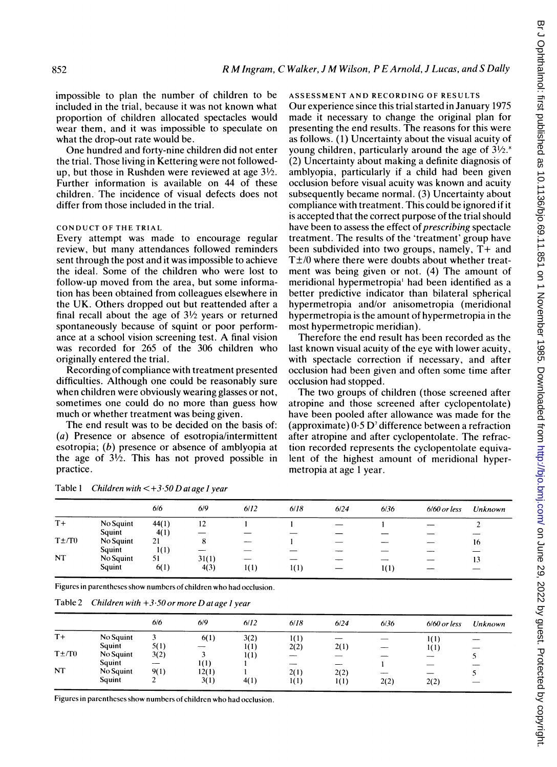impossible to plan the number of children to be included in the trial, because it was not known what proportion of children allocated spectacles would wear them, and it was impossible to speculate on what the drop-out rate would be.

One hundred and forty-nine children did not enter the trial. Those living in Kettering were not followedup, but those in Rushden were reviewed at age  $3\frac{1}{2}$ . Further information is available on 44 of these children. The incidence of visual defects does not differ from those included in the trial.

## CONDUCT OF THE TRIAL

Every attempt was made to encourage regular review, but many attendances followed reminders sent through the post and it was impossible to achieve the ideal. Some of the children who were lost to follow-up moved from the area, but some information has been obtained from colleagues elsewhere in the UK. Others dropped out but reattended after a final recall about the age of  $3\frac{1}{2}$  years or returned spontaneously because of squint or poor performance at <sup>a</sup> school vision screening test. A final vision was recorded for 265 of the 306 children who originally entered the trial.

Recording of compliance with treatment presented difficulties. Although one could be reasonably sure when children were obviously wearing glasses or not, sometimes one could do no more than guess how much or whether treatment was being given.

The end result was to be decided on the basis of: (a) Presence or absence of esotropia/intermittent esotropia; (b) presence or absence of amblyopia at the age of  $3\frac{1}{2}$ . This has not proved possible in practice.

#### ASSESSMENT AND RECORDING OF RESULTS

Our experience since this trial started in January 1975 made it necessary to change the original plan for presenting the end results. The reasons for this were as follows. (1) Uncertainty about the visual acuity of young children, particularly around the age of  $3\frac{1}{2}$ . (2) Uncertainty about making a definite diagnosis of amblyopia, particularly if a child had been given occlusion before visual acuity was known and acuity subsequently became normal. (3) Uncertainty about compliance with treatment. This could be ignored if it is accepted that the correct purpose of the trial should have been to assess the effect of *prescribing* spectacle treatment. The results of the 'treatment' group have been subdivided into two groups, namely, T+ and  $T\pm/0$  where there were doubts about whether treatment was being given or not. (4) The amount of meridional hypermetropia' had been identified as a better predictive indicator than bilateral spherical hypermetropia and/or anisometropia (meridional hypermetropia is the amount of hypermetropia in the most hypermetropic meridian).

Therefore the end result has been recorded as the last known visual acuity of the eye with lower acuity, with spectacle correction if necessary, and after occlusion had been given and often some time after occlusion had stopped.

The two groups of children (those screened after atropine and those screened after cyclopentolate) have been pooled after allowance was made for the (approximate)  $0.5 \text{D}$ <sup>7</sup> difference between a refraction after atropine and after cyclopentolate. The refraction recorded represents the cyclopentolate equivalent of the highest amount of meridional hypermetropia at age <sup>1</sup> year.

|            |           | 6/6   | 6/9   | 6/12 | 6/18 | 6/24 | 6/36 | $6/60$ or less | Unknown |
|------------|-----------|-------|-------|------|------|------|------|----------------|---------|
| $T+$       | No Squint | 44(1) | 12    |      |      |      |      |                |         |
|            | Squint    | 4(1)  |       |      |      |      |      |                |         |
| $T \pm T0$ | No Squint | 21    | 8     |      |      |      |      |                | 16      |
|            | Squint    | 1(1)  |       |      |      |      |      |                |         |
| <b>NT</b>  | No Squint | 51    | 31(1) |      |      |      |      |                | 13      |
|            | Squint    | 6(1)  | 4(3)  | 1(1) | 1(1) |      | 1(1) |                |         |

Table 1 Children with  $\lt +3.50$  D at age 1 year

Figures in parentheses show numbers of children who had occlusion.

Table 2 Children with  $+3.50$  or more D at age 1 year

| _ |
|---|
|   |
|   |
|   |
|   |
|   |

Figures in parentheses show numbers of children who had occlusion.